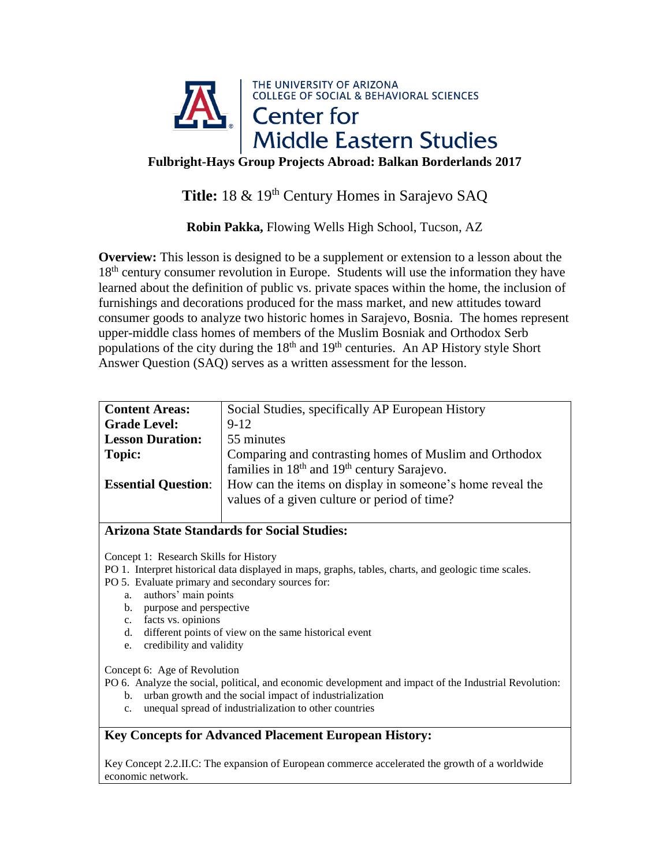

**Fulbright-Hays Group Projects Abroad: Balkan Borderlands 2017**

Title: 18 & 19<sup>th</sup> Century Homes in Sarajevo SAQ

**Robin Pakka,** Flowing Wells High School, Tucson, AZ

**Overview:** This lesson is designed to be a supplement or extension to a lesson about the 18<sup>th</sup> century consumer revolution in Europe. Students will use the information they have learned about the definition of public vs. private spaces within the home, the inclusion of furnishings and decorations produced for the mass market, and new attitudes toward consumer goods to analyze two historic homes in Sarajevo, Bosnia. The homes represent upper-middle class homes of members of the Muslim Bosniak and Orthodox Serb populations of the city during the  $18<sup>th</sup>$  and  $19<sup>th</sup>$  centuries. An AP History style Short Answer Question (SAQ) serves as a written assessment for the lesson.

| <b>Content Areas:</b>      | Social Studies, specifically AP European History          |
|----------------------------|-----------------------------------------------------------|
| <b>Grade Level:</b>        | $9 - 12$                                                  |
| <b>Lesson Duration:</b>    | 55 minutes                                                |
| <b>Topic:</b>              | Comparing and contrasting homes of Muslim and Orthodox    |
|                            | families in $18th$ and $19th$ century Sarajevo.           |
| <b>Essential Question:</b> | How can the items on display in someone's home reveal the |
|                            | values of a given culture or period of time?              |
|                            |                                                           |

## **Arizona State Standards for Social Studies:**

Concept 1: Research Skills for History

PO 1. Interpret historical data displayed in maps, graphs, tables, charts, and geologic time scales.

PO 5. Evaluate primary and secondary sources for:

- a. authors' main points
- b. purpose and perspective
- c. facts vs. opinions
- d. different points of view on the same historical event
- e. credibility and validity

Concept 6: Age of Revolution

PO 6. Analyze the social, political, and economic development and impact of the Industrial Revolution:

- b. urban growth and the social impact of industrialization
- c. unequal spread of industrialization to other countries

# **Key Concepts for Advanced Placement European History:**

Key Concept 2.2.II.C: The expansion of European commerce accelerated the growth of a worldwide economic network.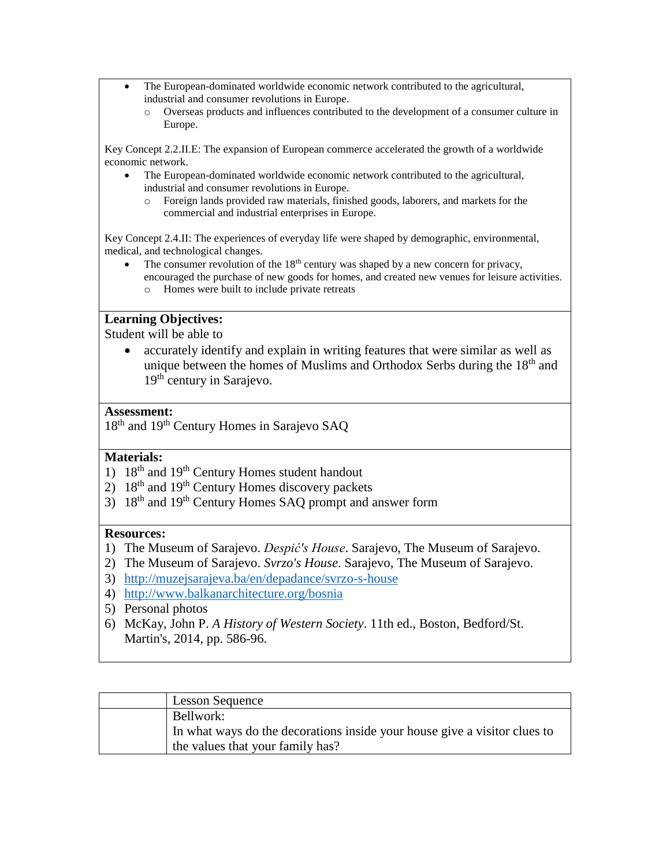- The European-dominated worldwide economic network contributed to the agricultural, industrial and consumer revolutions in Europe.
	- o Overseas products and influences contributed to the development of a consumer culture in Europe.

Key Concept 2.2.II.E: The expansion of European commerce accelerated the growth of a worldwide economic network.

- The European-dominated worldwide economic network contributed to the agricultural, industrial and consumer revolutions in Europe.
	- o Foreign lands provided raw materials, finished goods, laborers, and markets for the commercial and industrial enterprises in Europe.

Key Concept 2.4.II: The experiences of everyday life were shaped by demographic, environmental, medical, and technological changes.

The consumer revolution of the  $18<sup>th</sup>$  century was shaped by a new concern for privacy, encouraged the purchase of new goods for homes, and created new venues for leisure activities. o Homes were built to include private retreats

### **Learning Objectives:**

Student will be able to

 accurately identify and explain in writing features that were similar as well as unique between the homes of Muslims and Orthodox Serbs during the 18<sup>th</sup> and 19<sup>th</sup> century in Sarajevo.

### **Assessment:**

18<sup>th</sup> and 19<sup>th</sup> Century Homes in Sarajevo SAQ

## **Materials:**

- 1)  $18<sup>th</sup>$  and  $19<sup>th</sup>$  Century Homes student handout
- $2)$  18<sup>th</sup> and 19<sup>th</sup> Century Homes discovery packets
- 3)  $18<sup>th</sup>$  and  $19<sup>th</sup>$  Century Homes SAQ prompt and answer form

#### **Resources:**

- 1) The Museum of Sarajevo. *Despić's House*. Sarajevo, The Museum of Sarajevo.
- 2) The Museum of Sarajevo. *Svrzo's House*. Sarajevo, The Museum of Sarajevo.
- 3) <http://muzejsarajeva.ba/en/depadance/svrzo-s-house>
- 4) <http://www.balkanarchitecture.org/bosnia>
- 5) Personal photos
- 6) McKay, John P. *A History of Western Society*. 11th ed., Boston, Bedford/St. Martin's, 2014, pp. 586-96.

| <b>Lesson Sequence</b>                                                    |
|---------------------------------------------------------------------------|
| Bellwork:                                                                 |
| In what ways do the decorations inside your house give a visitor clues to |
| the values that your family has?                                          |